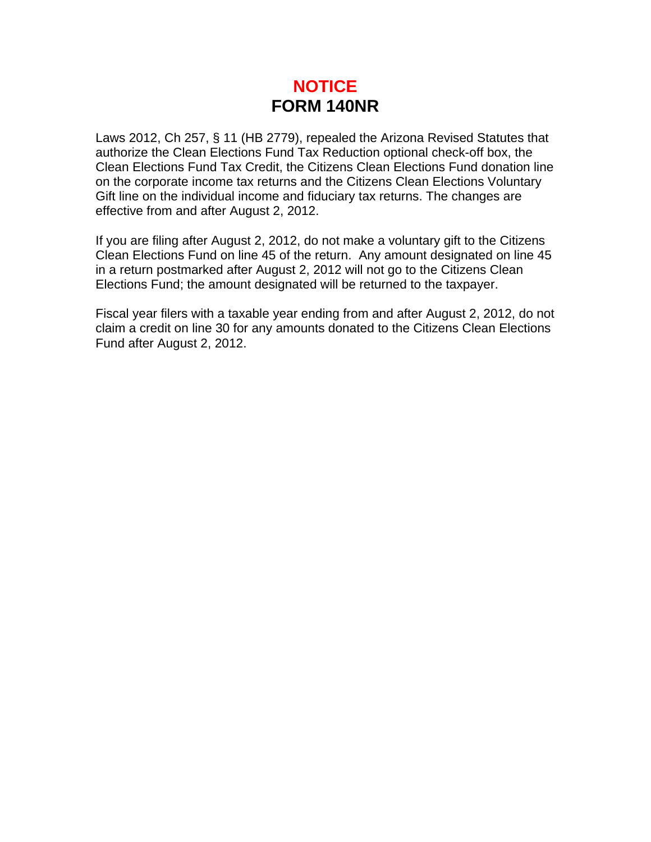## **NOTICE FORM 140NR**

Laws 2012, Ch 257, § 11 (HB 2779), repealed the Arizona Revised Statutes that authorize the Clean Elections Fund Tax Reduction optional check-off box, the Clean Elections Fund Tax Credit, the Citizens Clean Elections Fund donation line on the corporate income tax returns and the Citizens Clean Elections Voluntary Gift line on the individual income and fiduciary tax returns. The changes are effective from and after August 2, 2012.

If you are filing after August 2, 2012, do not make a voluntary gift to the Citizens Clean Elections Fund on line 45 of the return. Any amount designated on line 45 in a return postmarked after August 2, 2012 will not go to the Citizens Clean Elections Fund; the amount designated will be returned to the taxpayer.

Fiscal year filers with a taxable year ending from and after August 2, 2012, do not claim a credit on line 30 for any amounts donated to the Citizens Clean Elections Fund after August 2, 2012.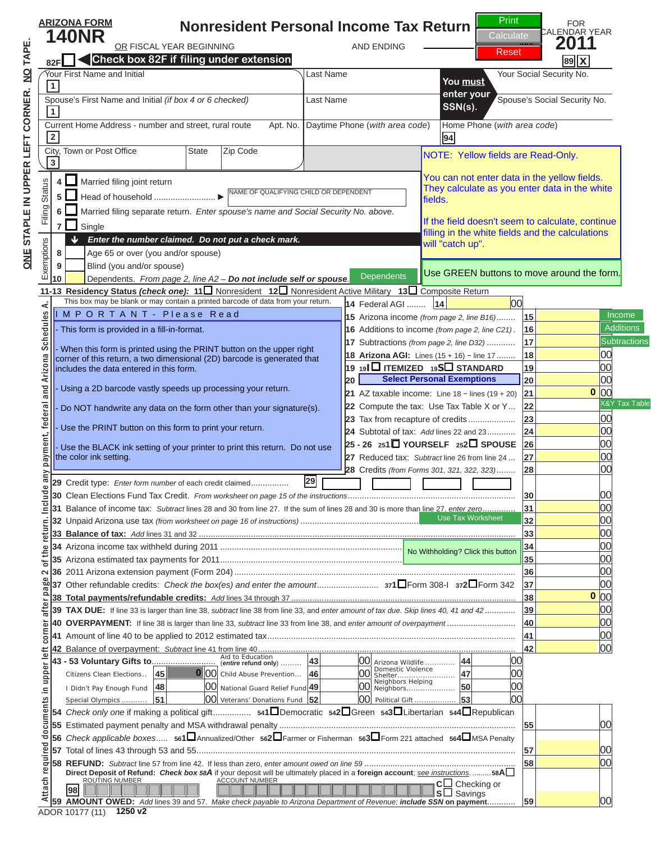### **Nonresident Personal Income Tax Return ARIZONA FORM**  $\sum_{\text{Recall}}$   $\sum_{\text{Recall}}$   $\sum_{\text{Recall}}$   $\sum_{\text{Recall}}$   $\sum_{\text{Recall}}$   $\sum_{\text{Recall}}$   $\sum_{\text{Recall}}$   $\sum_{\text{Recall}}$   $\sum_{\text{Recall}}$   $\sum_{\text{Recall}}$   $\sum_{\text{Recall}}$   $\sum_{\text{Recall}}$   $\sum_{\text{Recall}}$   $\sum_{\text{Recall}}$   $\sum_{\text{Recall}}$   $\sum_{\text{Recall}}$   $\sum_{\text{Recall}}$   $\sum_{\text{Recall}}$   $\sum_{\$ **82F Check box 82F if filing under extension N O T I C E ARESERVED AND INITIAL RESERVED AND INITIAL RESERVED AND TO A RESERVED AND RESERVED AND A RESERVED AND RESERVED AND A RESERVED AND A RESERVED AND RESERVED AND RESERVED AND RESERVED AND RESERVED AND RESERVED AND**

CALENDAR YEAR Print **Calculate** 

Reset

 $\overline{\phantom{0}}$ 

| If you are viewing this filling in the white field doesn't seem to calculate, contained                                                                                                                                                                                                                                                                                                                                                                                                                                                                                        | NOTICE: Yellow fields are Read-Only.<br>You can not enter data in the yellow fields.<br>They calculate as you enter data in the white<br>lfields.<br>If the field doesn't seem to calculate, continue<br>this is NOT a convergence of the GREEN buttons to move around the form. |
|--------------------------------------------------------------------------------------------------------------------------------------------------------------------------------------------------------------------------------------------------------------------------------------------------------------------------------------------------------------------------------------------------------------------------------------------------------------------------------------------------------------------------------------------------------------------------------|----------------------------------------------------------------------------------------------------------------------------------------------------------------------------------------------------------------------------------------------------------------------------------|
| MPORTANT - Please Read<br>This form is provided in a fill-in-format.<br>- When this form is printed using the PRINT button on the upper right<br>corner of this return, a two dimensional (2D) barcode is generated that<br>includes the data entered in this form.<br>Using a 2D barcode vastly speeds up processing your return.<br>Do NOT handwrite any data on the form other than your signature(s).<br>Use the PRINT button on this form to print your return.<br>- Use the BLACK ink setting of your printer to print this return. Do not use<br>the color ink setting. | Income<br><b>Additions</b><br><b>Subtractions</b><br>П<br>□<br><b>Select Personal Exemptions</b><br>O<br>X&Y Tax Table<br>pleted return:                                                                                                                                         |
| click on the PRINT but<br><b>Clicking the PRINT button</b>                                                                                                                                                                                                                                                                                                                                                                                                                                                                                                                     | Use Tax Worksheet<br>No Withholding? Click this button<br>$\Omega$                                                                                                                                                                                                               |
| will perform the calculations<br><b>E</b> ast time and<br>update the barcode.                                                                                                                                                                                                                                                                                                                                                                                                                                                                                                  |                                                                                                                                                                                                                                                                                  |
| NOTICH<br>1250 v2                                                                                                                                                                                                                                                                                                                                                                                                                                                                                                                                                              |                                                                                                                                                                                                                                                                                  |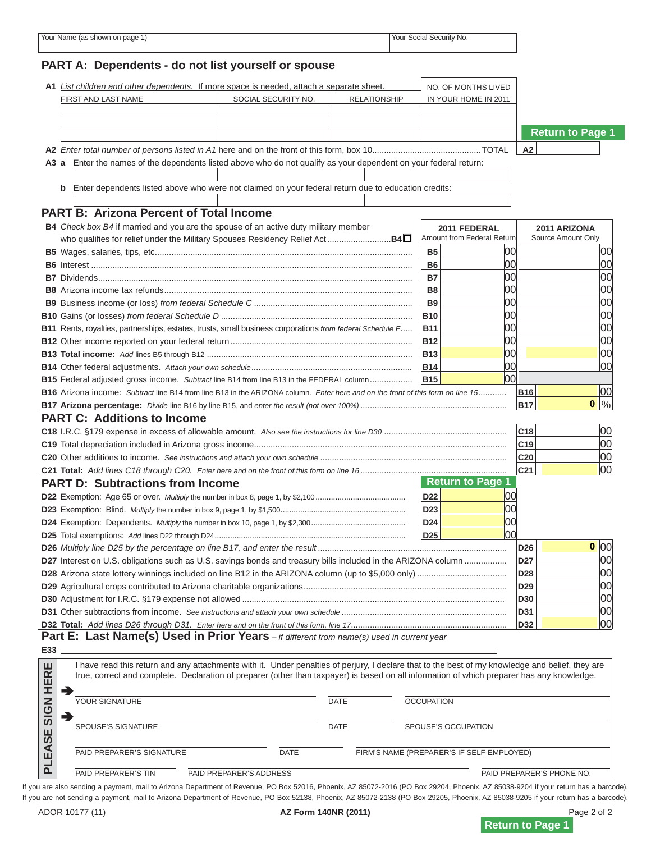# **PART A: Dependents - do not list yourself or spouse A2** *Enter total number of persons listed in A1* here and on the front of this form, box 10..............................................TOTAL **A2 A3 a** Enter the names of the dependents listed above who do not qualify as your dependent on your federal return: N O T I C E N O T I C E



**0**

**0**

**2011 FEDERAL** Amount from Federal Return **2011 ARIZONA**  $\blacksquare$ **B4** *Check box B4* if married and you are the spouse of an active duty military member who are viewing inis If you are viewing this message, **B6** Interest ........................................................................................................................................ **B6** 00 00 **B7** Dividends ..................................................................................................................................... **B7** 00 00 this is NOT a complete return. **B9** Business income (or loss) *from federal Schedule C* ................................................................... **B9** 00 00

**C19** Total depreciation included in Arizona gross income ........................................................................................................... **C19** 00 **C20** Other additions to income. *See instructions and attach your own schedule* ............................................................................... **C20** 00 To print a completed return: **The front of the form on line 16 PART D: Subtractions from Income D22** Exemption: Age 65 or over. *Multiply* the number in box 8, page 1, by \$2,100 ......................................... **D22** 00 **D23** Exemption: Blind. *Multiply* the number in box 9, page 1, by \$1,500......................................................... **D23** 00 **Click on the PRINT button** 

**D26** *Multiply line D25 by the percentage on line B17, and enter the result* ................................................................................ **D26** 00

**B17 Arizona percentage:** *Divide* line B16 by line B15, and *enter the result (not over 100%)* .............................................................. **B17** %

**D28** Arizona state lottery winnings included on line B12 in the ARIZONA column (up to \$5,000 only) ...................................... **D28** 00 **D29** Agricultural crops contributed to Arizona charitable organizations ...................................................................................... **D29** 00 Clicking the PRINT button **D31** Other subtractions from income. *See instructions and attach your own schedule* ...................................................................... **D31** 00 **D32 Total:** *Add lines D26 through D31. Enter here and on the front of this form, line 17* .................................................................. **D32** 00 **Part E: Last Name(s) Used in Prior Years** *– if different from name(s) used in current year* I have read this return and any attachments with it. Under penalties of perjury, I declare that to the best of my knowledge and belief, they are true, correct and complete. Declaration of preparer (other than taxpayer) is based on all information of which preparer has any knowledge. one last time and update the barcode. PAID PREPARER'S SIGNATURE DATE FIRM'S NAME (PREPARER'S IF SELF-EMPLOYED) will perform the calculations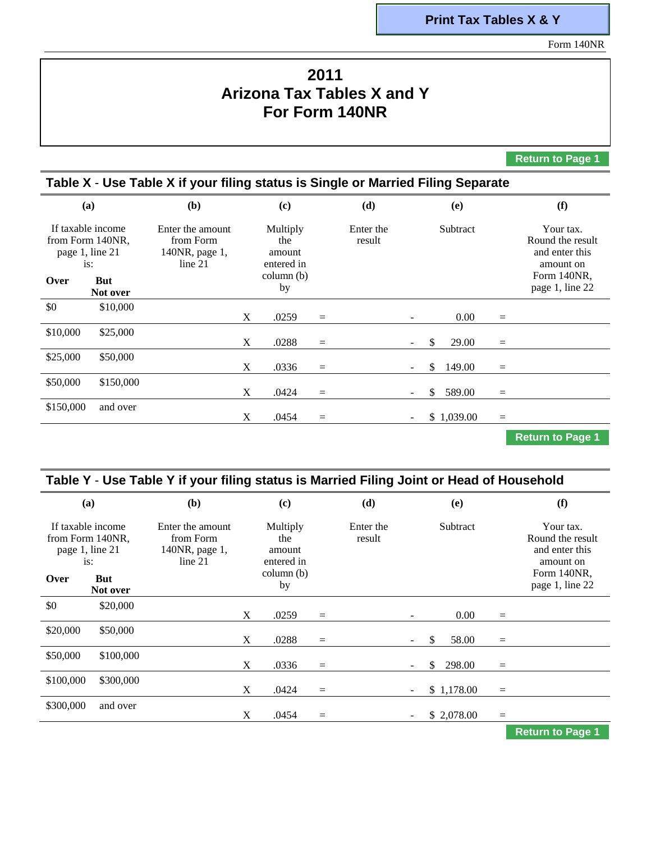#### **Print Tax Tables X & Y**

Form 140NR

## **2011 Arizona Tax Tables X and Y For Form 140NR**

**Return to Page 1**

#### **Table X** - **Use Table X if your filing status is Single or Married Filing Separate (a)**  If taxable income from Form 140NR, page 1, line 21 is: **Over But Not over (b)**  Enter the amount from Form 140NR, page 1, line 21 **(c)**  Multiply the amount entered in column (b) by **(d)**  Enter the result **(e) Subtract (f)**  Your tax. Round the result and enter this amount on Form 140NR, page 1, line 22 \$0 \$10,000  $X$  .0259 =  $0.00 =$ \$10,000 \$25,000  $X$  .0288 =  $-$  \$ 29.00  $=$ \$25,000 \$50,000  $X$  .0336 =  $-$  \$ 149.00  $=$ \$50,000 \$150,000  $X \t .0424 =$  $$ 589.00$ \$150,000 and over  $X = .0454 =$  $-$  \$ 1,039.00 =

**Return to Page 1**

| Table Y - Use Table Y if your filing status is Married Filing Joint or Head of Household |                                                                        |                                                            |   |                                                             |     |                     |  |              |          |                                                                                                |
|------------------------------------------------------------------------------------------|------------------------------------------------------------------------|------------------------------------------------------------|---|-------------------------------------------------------------|-----|---------------------|--|--------------|----------|------------------------------------------------------------------------------------------------|
|                                                                                          | (a)                                                                    | ( <b>b</b> )                                               |   | (c)                                                         |     | (d)                 |  | (e)          |          | (f)                                                                                            |
| page 1, line 21<br>Over                                                                  | If taxable income<br>from Form 140NR,<br>is:<br><b>But</b><br>Not over | Enter the amount<br>from Form<br>140NR, page 1,<br>line 21 |   | Multiply<br>the<br>amount<br>entered in<br>column (b)<br>by |     | Enter the<br>result |  | Subtract     |          | Your tax.<br>Round the result<br>and enter this<br>amount on<br>Form 140NR.<br>page 1, line 22 |
| \$0                                                                                      | \$20,000                                                               |                                                            | X | .0259                                                       | $=$ |                     |  | 0.00         | $\equiv$ |                                                                                                |
| \$20,000                                                                                 | \$50,000                                                               |                                                            | X | .0288                                                       | $=$ |                     |  | \$.<br>58.00 | $=$      |                                                                                                |
| \$50,000                                                                                 | \$100,000                                                              |                                                            | X | .0336                                                       | $=$ |                     |  | \$<br>298.00 | $=$      |                                                                                                |
| \$100,000                                                                                | \$300,000                                                              |                                                            | X | .0424                                                       | $=$ |                     |  | \$1,178.00   | $=$      |                                                                                                |
| \$300,000                                                                                | and over                                                               |                                                            | X | .0454                                                       | $=$ |                     |  | \$2,078.00   | $\equiv$ |                                                                                                |
|                                                                                          |                                                                        |                                                            |   |                                                             |     |                     |  |              |          | <b>Return to Page 1</b>                                                                        |